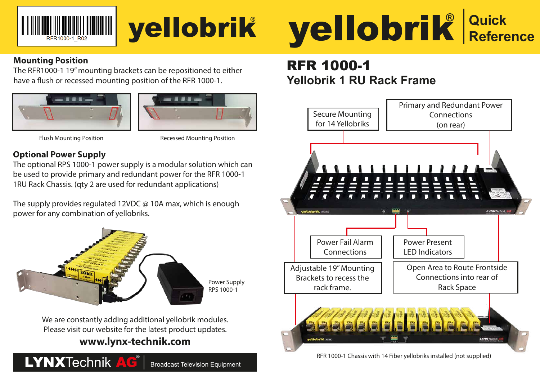

# yellobrik**®**

#### **Mounting Position**

The RFR1000-1 19" mounting brackets can be repositioned to either have a flush or recessed mounting position of the RFR 1000-1.





Flush Mounting Position Recessed Mounting Position

#### **Optional Power Supply**

The optional RPS 1000-1 power supply is a modular solution which can be used to provide primary and redundant power for the RFR 1000-1 1RU Rack Chassis. (qty 2 are used for redundant applications)

The supply provides regulated 12VDC @ 10A max, which is enough power for any combination of yellobriks.



We are constantly adding additional yellobrik modules. Please visit our website for the latest product updates.

## **www.lynx-technik.com**





# RFR 1000-1 **Yellobrik 1 RU Rack Frame**



RFR 1000-1 Chassis with 14 Fiber yellobriks installed (not supplied)